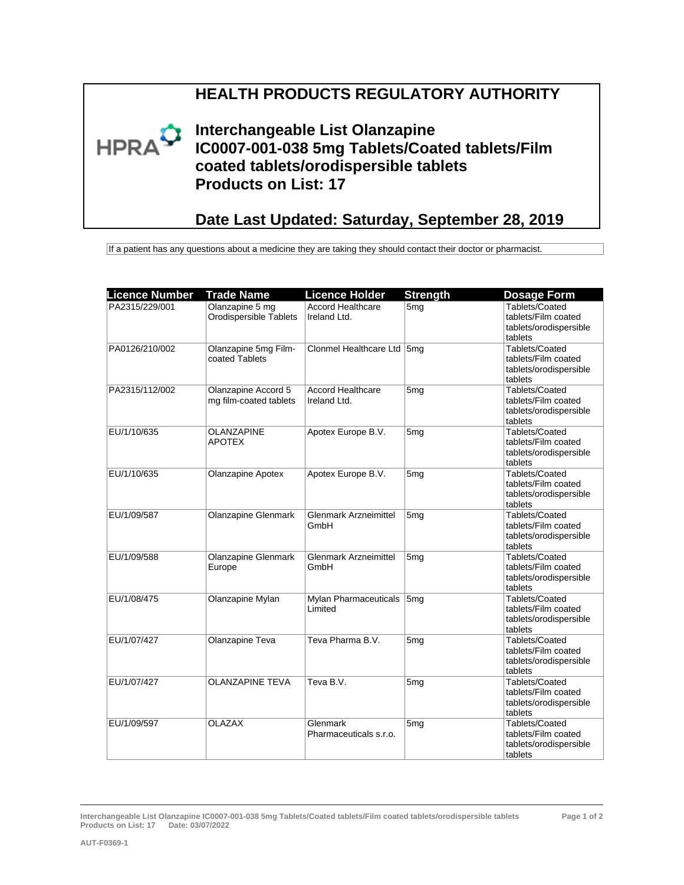## **HEALTH PRODUCTS REGULATORY AUTHORITY**



**Interchangeable List Olanzapine IC0007-001-038 5mg Tablets/Coated tablets/Film coated tablets/orodispersible tablets Products on List: 17**

## **Date Last Updated: Saturday, September 28, 2019**

If a patient has any questions about a medicine they are taking they should contact their doctor or pharmacist.

| <b>Licence Number</b> | <b>Trade Name</b>                             | <b>Licence Holder</b>                    | <b>Strength</b> | <b>Dosage Form</b>                                                         |
|-----------------------|-----------------------------------------------|------------------------------------------|-----------------|----------------------------------------------------------------------------|
| PA2315/229/001        | Olanzapine 5 mg<br>Orodispersible Tablets     | <b>Accord Healthcare</b><br>Ireland Ltd. | 5 <sub>mg</sub> | Tablets/Coated<br>tablets/Film coated<br>tablets/orodispersible<br>tablets |
| PA0126/210/002        | Olanzapine 5mg Film-<br>coated Tablets        | Clonmel Healthcare Ltd 5mg               |                 | Tablets/Coated<br>tablets/Film coated<br>tablets/orodispersible<br>tablets |
| PA2315/112/002        | Olanzapine Accord 5<br>mg film-coated tablets | <b>Accord Healthcare</b><br>Ireland Ltd. | 5 <sub>mg</sub> | Tablets/Coated<br>tablets/Film coated<br>tablets/orodispersible<br>tablets |
| EU/1/10/635           | <b>OLANZAPINE</b><br><b>APOTEX</b>            | Apotex Europe B.V.                       | 5 <sub>mq</sub> | Tablets/Coated<br>tablets/Film coated<br>tablets/orodispersible<br>tablets |
| EU/1/10/635           | <b>Olanzapine Apotex</b>                      | Apotex Europe B.V.                       | 5 <sub>mg</sub> | Tablets/Coated<br>tablets/Film coated<br>tablets/orodispersible<br>tablets |
| EU/1/09/587           | <b>Olanzapine Glenmark</b>                    | <b>Glenmark Arzneimittel</b><br>GmbH     | 5 <sub>mg</sub> | Tablets/Coated<br>tablets/Film coated<br>tablets/orodispersible<br>tablets |
| EU/1/09/588           | Olanzapine Glenmark<br>Europe                 | <b>Glenmark Arzneimittel</b><br>GmbH     | 5 <sub>mg</sub> | Tablets/Coated<br>tablets/Film coated<br>tablets/orodispersible<br>tablets |
| EU/1/08/475           | Olanzapine Mylan                              | Mylan Pharmaceuticals<br>Limited         | 5 <sub>mq</sub> | Tablets/Coated<br>tablets/Film coated<br>tablets/orodispersible<br>tablets |
| EU/1/07/427           | Olanzapine Teva                               | Teva Pharma B.V.                         | 5 <sub>mg</sub> | Tablets/Coated<br>tablets/Film coated<br>tablets/orodispersible<br>tablets |
| EU/1/07/427           | <b>OLANZAPINE TEVA</b>                        | Teva B.V.                                | 5 <sub>mg</sub> | Tablets/Coated<br>tablets/Film coated<br>tablets/orodispersible<br>tablets |
| EU/1/09/597           | <b>OLAZAX</b>                                 | Glenmark<br>Pharmaceuticals s.r.o.       | 5 <sub>mg</sub> | Tablets/Coated<br>tablets/Film coated<br>tablets/orodispersible<br>tablets |

**Interchangeable List Olanzapine IC0007-001-038 5mg Tablets/Coated tablets/Film coated tablets/orodispersible tablets Products on List: 17 Date: 03/07/2022**